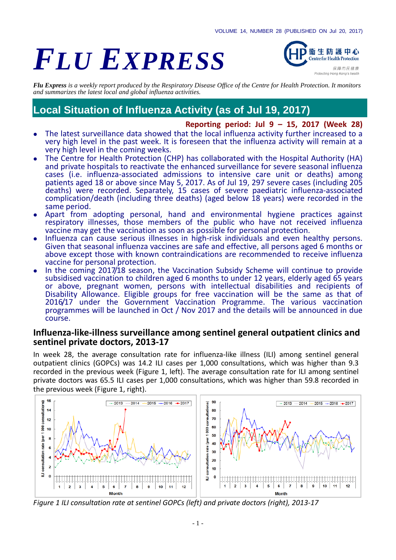# *FLU EXPRESS*



*Flu Express is a weekly report produced by the Respiratory Disease Office of the Centre for Health Protection. It monitors and summarizes the latest local and global influenza activities.*

# **Local Situation of Influenza Activity (as of Jul 19, 2017)**

#### **Reporting period: Jul 9 – 15, 2017 (Week 28)**

- The latest surveillance data showed that the local influenza activity further increased to a very high level in the past week. It is foreseen that the influenza activity will remain at a very high level in the coming weeks.
- The Centre for Health Protection (CHP) has collaborated with the Hospital Authority (HA) and private hospitals to reactivate the enhanced surveillance for severe seasonal influenza cases (i.e. influenza-associated admissions to intensive care unit or deaths) among patients aged 18 or above since May 5, 2017. As of Jul 19, 297 severe cases (including 205 deaths) were recorded. Separately, 15 cases of severe paediatric influenza-associated complication/death (including three deaths) (aged below 18 years) were recorded in the same period.
- Apart from adopting personal, hand and environmental hygiene practices against respiratory illnesses, those members of the public who have not received influenza vaccine may get the vaccination as soon as possible for personal protection.
- Influenza can cause serious illnesses in high-risk individuals and even healthy persons. Given that seasonal influenza vaccines are safe and effective, all persons aged 6 months or above except those with known contraindications are recommended to receive influenza vaccine for personal protection.
- In the coming 2017/18 season, the Vaccination Subsidy Scheme will continue to provide subsidised vaccination to children aged 6 months to under 12 years, elderly aged 65 years or above, pregnant women, persons with intellectual disabilities and recipients of Disability Allowance. Eligible groups for free vaccination will be the same as that of 2016/17 under the Government Vaccination Programme. The various vaccination programmes will be launched in Oct / Nov 2017 and the details will be announced in due course.

#### **Influenza-like-illness surveillance among sentinel general outpatient clinics and sentinel private doctors, 2013-17**

In week 28, the average consultation rate for influenza-like illness (ILI) among sentinel general outpatient clinics (GOPCs) was 14.2 ILI cases per 1,000 consultations, which was higher than 9.3 recorded in the previous week (Figure 1, left). The average consultation rate for ILI among sentinel private doctors was 65.5 ILI cases per 1,000 consultations, which was higher than 59.8 recorded in the previous week (Figure 1, right).



*Figure 1 ILI consultation rate at sentinel GOPCs (left) and private doctors (right), 2013-17*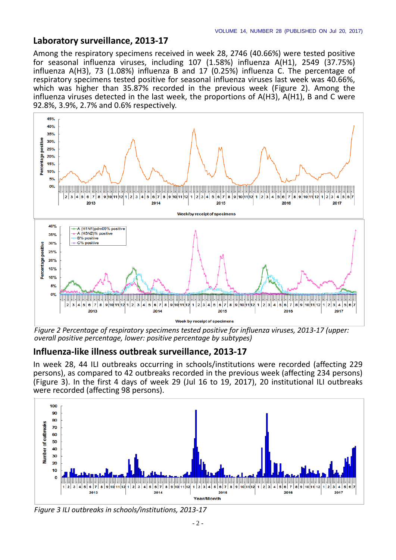#### **Laboratory surveillance, 2013-17**

Among the respiratory specimens received in week 28, 2746 (40.66%) were tested positive for seasonal influenza viruses, including 107 (1.58%) influenza A(H1), 2549 (37.75%) influenza A(H3), 73 (1.08%) influenza B and 17 (0.25%) influenza C. The percentage of respiratory specimens tested positive for seasonal influenza viruses last week was 40.66%, which was higher than 35.87% recorded in the previous week (Figure 2). Among the influenza viruses detected in the last week, the proportions of A(H3), A(H1), B and C were 92.8%, 3.9%, 2.7% and 0.6% respectively.



*Figure 2 Percentage of respiratory specimens tested positive for influenza viruses, 2013-17 (upper: overall positive percentage, lower: positive percentage by subtypes)*

#### **Influenza-like illness outbreak surveillance, 2013-17**

In week 28, 44 ILI outbreaks occurring in schools/institutions were recorded (affecting 229 persons), as compared to 42 outbreaks recorded in the previous week (affecting 234 persons) (Figure 3). In the first 4 days of week 29 (Jul 16 to 19, 2017), 20 institutional ILI outbreaks were recorded (affecting 98 persons).



*Figure 3 ILI outbreaks in schools/institutions, 2013-17*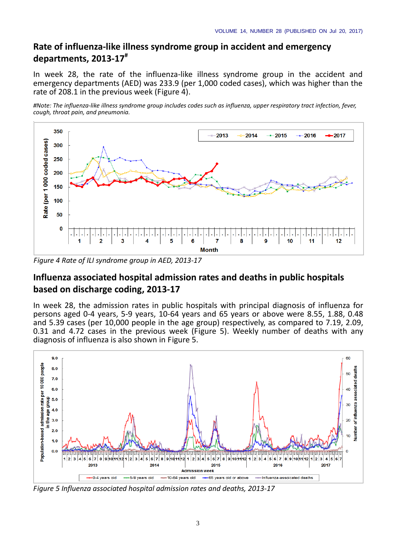## **Rate of influenza-like illness syndrome group in accident and emergency departments, 2013-17#**

In week 28, the rate of the influenza-like illness syndrome group in the accident and emergency departments (AED) was 233.9 (per 1,000 coded cases), which was higher than the rate of 208.1 in the previous week (Figure 4).

*#Note: The influenza-like illness syndrome group includes codes such as influenza, upper respiratory tract infection, fever, cough, throat pain, and pneumonia.*



*Figure 4 Rate of ILI syndrome group in AED, 2013-17*

## **Influenza associated hospital admission rates and deaths in public hospitals based on discharge coding, 2013-17**

In week 28, the admission rates in public hospitals with principal diagnosis of influenza for persons aged 0-4 years, 5-9 years, 10-64 years and 65 years or above were 8.55, 1.88, 0.48 and 5.39 cases (per 10,000 people in the age group) respectively, as compared to 7.19, 2.09, 0.31 and 4.72 cases in the previous week (Figure 5). Weekly number of deaths with any diagnosis of influenza is also shown in Figure 5.



*Figure 5 Influenza associated hospital admission rates and deaths, 2013-17*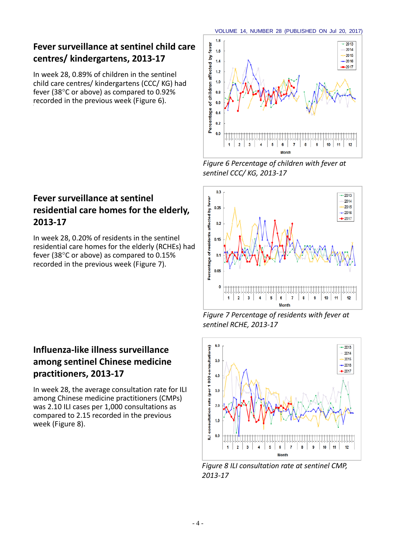# **Fever surveillance at sentinel child care centres/ kindergartens, 2013-17**

In week 28, 0.89% of children in the sentinel child care centres/ kindergartens (CCC/ KG) had fever (38°C or above) as compared to 0.92% recorded in the previous week (Figure 6).

## **Fever surveillance at sentinel residential care homes for the elderly, 2013-17**

In week 28, 0.20% of residents in the sentinel residential care homes for the elderly (RCHEs) had fever (38°C or above) as compared to 0.15% recorded in the previous week (Figure 7).

## **Influenza-like illness surveillance among sentinel Chinese medicine practitioners, 2013-17**

In week 28, the average consultation rate for ILI among Chinese medicine practitioners (CMPs) was 2.10 ILI cases per 1,000 consultations as compared to 2.15 recorded in the previous week (Figure 8).



*Figure 6 Percentage of children with fever at sentinel CCC/ KG, 2013-17*



*Figure 7 Percentage of residents with fever at sentinel RCHE, 2013-17*



*Figure 8 ILI consultation rate at sentinel CMP, 2013-17*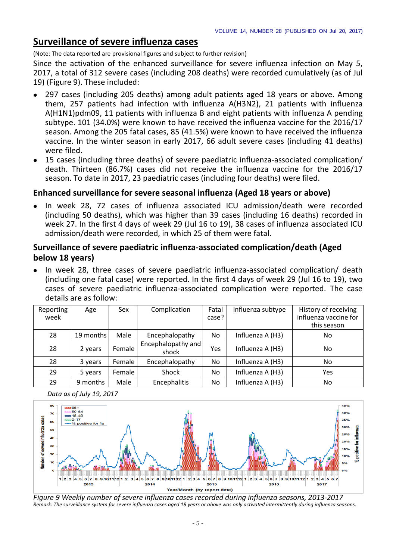## **Surveillance of severe influenza cases**

(Note: The data reported are provisional figures and subject to further revision)

Since the activation of the enhanced surveillance for severe influenza infection on May 5, 2017, a total of 312 severe cases (including 208 deaths) were recorded cumulatively (as of Jul 19) (Figure 9). These included:

- 297 cases (including 205 deaths) among adult patients aged 18 years or above. Among them, 257 patients had infection with influenza A(H3N2), 21 patients with influenza A(H1N1)pdm09, 11 patients with influenza B and eight patients with influenza A pending subtype. 101 (34.0%) were known to have received the influenza vaccine for the 2016/17 season. Among the 205 fatal cases, 85 (41.5%) were known to have received the influenza vaccine. In the winter season in early 2017, 66 adult severe cases (including 41 deaths) were filed.
- 15 cases (including three deaths) of severe paediatric influenza-associated complication/ death. Thirteen (86.7%) cases did not receive the influenza vaccine for the 2016/17 season. To date in 2017, 23 paediatric cases (including four deaths) were filed.

## **Enhanced surveillance for severe seasonal influenza (Aged 18 years or above)**

• In week 28, 72 cases of influenza associated ICU admission/death were recorded (including 50 deaths), which was higher than 39 cases (including 16 deaths) recorded in week 27. In the first 4 days of week 29 (Jul 16 to 19), 38 cases of influenza associated ICU admission/death were recorded, in which 25 of them were fatal.

## **Surveillance of severe paediatric influenza-associated complication/death (Aged below 18 years)**

 In week 28, three cases of severe paediatric influenza-associated complication/ death (including one fatal case) were reported. In the first 4 days of week 29 (Jul 16 to 19), two cases of severe paediatric influenza-associated complication were reported. The case details are as follow:

| Reporting<br>week | Age       | Sex    | Complication                | Fatal<br>case? | Influenza subtype | History of receiving<br>influenza vaccine for<br>this season |
|-------------------|-----------|--------|-----------------------------|----------------|-------------------|--------------------------------------------------------------|
| 28                | 19 months | Male   | Encephalopathy              | No.            | Influenza A (H3)  | No.                                                          |
| 28                | 2 years   | Female | Encephalopathy and<br>shock | Yes            | Influenza A (H3)  | No                                                           |
| 28                | 3 years   | Female | Encephalopathy              | No             | Influenza A (H3)  | No                                                           |
| 29                | 5 years   | Female | Shock                       | No             | Influenza A (H3)  | Yes                                                          |
| 29                | 9 months  | Male   | Encephalitis                | No             | Influenza A (H3)  | No                                                           |





*Figure 9 Weekly number of severe influenza cases recorded during influenza seasons, 2013-2017 Remark: The surveillance system for severe influenza cases aged 18 years or above was only activated intermittently during influenza seasons.*